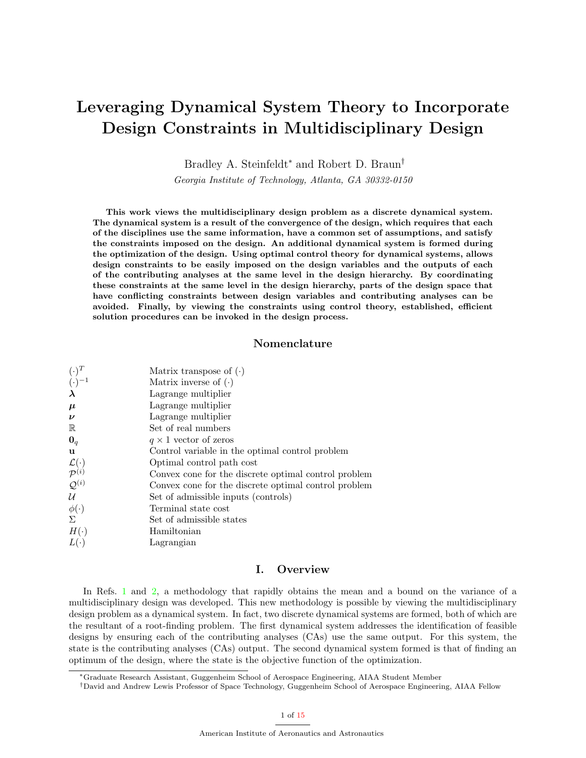# Leveraging Dynamical System Theory to Incorporate Design Constraints in Multidisciplinary Design

Bradley A. Steinfeldt<sup>∗</sup> and Robert D. Braun†

Georgia Institute of Technology, Atlanta, GA 30332-0150

This work views the multidisciplinary design problem as a discrete dynamical system. The dynamical system is a result of the convergence of the design, which requires that each of the disciplines use the same information, have a common set of assumptions, and satisfy the constraints imposed on the design. An additional dynamical system is formed during the optimization of the design. Using optimal control theory for dynamical systems, allows design constraints to be easily imposed on the design variables and the outputs of each of the contributing analyses at the same level in the design hierarchy. By coordinating these constraints at the same level in the design hierarchy, parts of the design space that have conflicting constraints between design variables and contributing analyses can be avoided. Finally, by viewing the constraints using control theory, established, efficient solution procedures can be invoked in the design process.

# Nomenclature

| $(\cdot)^T$                                  | Matrix transpose of $(\cdot)$                        |
|----------------------------------------------|------------------------------------------------------|
| $(\cdot)^{-1}$                               | Matrix inverse of $(\cdot)$                          |
| $\lambda$                                    | Lagrange multiplier                                  |
| $\mu$                                        | Lagrange multiplier                                  |
| $\boldsymbol{\nu}$                           | Lagrange multiplier                                  |
| $\mathbb R$                                  | Set of real numbers                                  |
| $\mathbf{0}_q$                               | $q \times 1$ vector of zeros                         |
| u                                            | Control variable in the optimal control problem      |
| $\mathcal{L}(\cdot) \over \mathcal{P}^{(i)}$ | Optimal control path cost                            |
|                                              | Convex cone for the discrete optimal control problem |
| $\mathcal{Q}^{(i)}$                          | Convex cone for the discrete optimal control problem |
| $\mathcal U$                                 | Set of admissible inputs (controls)                  |
| $\phi(\cdot)$                                | Terminal state cost                                  |
| Σ                                            | Set of admissible states                             |
| $H(\cdot)$                                   | Hamiltonian                                          |
| $L(\cdot)$                                   | Lagrangian                                           |
|                                              |                                                      |

# I. Overview

In Refs. [1](#page-14-0) and [2,](#page-14-1) a methodology that rapidly obtains the mean and a bound on the variance of a multidisciplinary design was developed. This new methodology is possible by viewing the multidisciplinary design problem as a dynamical system. In fact, two discrete dynamical systems are formed, both of which are the resultant of a root-finding problem. The first dynamical system addresses the identification of feasible designs by ensuring each of the contributing analyses (CAs) use the same output. For this system, the state is the contributing analyses (CAs) output. The second dynamical system formed is that of finding an optimum of the design, where the state is the objective function of the optimization.

<sup>∗</sup>Graduate Research Assistant, Guggenheim School of Aerospace Engineering, AIAA Student Member

<sup>†</sup>David and Andrew Lewis Professor of Space Technology, Guggenheim School of Aerospace Engineering, AIAA Fellow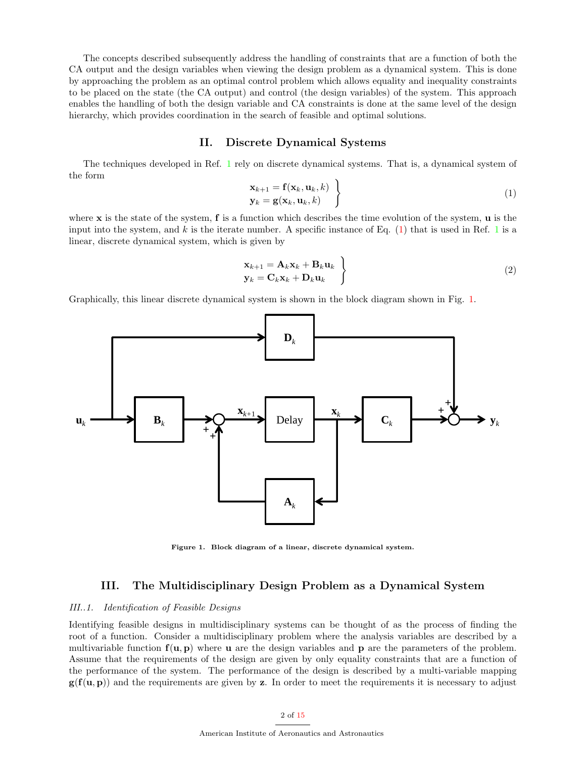The concepts described subsequently address the handling of constraints that are a function of both the CA output and the design variables when viewing the design problem as a dynamical system. This is done by approaching the problem as an optimal control problem which allows equality and inequality constraints to be placed on the state (the CA output) and control (the design variables) of the system. This approach enables the handling of both the design variable and CA constraints is done at the same level of the design hierarchy, which provides coordination in the search of feasible and optimal solutions.

# II. Discrete Dynamical Systems

<span id="page-1-0"></span>The techniques developed in Ref. [1](#page-14-0) rely on discrete dynamical systems. That is, a dynamical system of the form

$$
\mathbf{x}_{k+1} = \mathbf{f}(\mathbf{x}_k, \mathbf{u}_k, k) \n\mathbf{y}_k = \mathbf{g}(\mathbf{x}_k, \mathbf{u}_k, k)
$$
\n(1)

where  $x$  is the state of the system,  $f$  is a function which describes the time evolution of the system,  $u$  is the input into the system, and k is the iterate number. A specific instance of Eq.  $(1)$  that is used in Ref. [1](#page-14-0) is a linear, discrete dynamical system, which is given by

$$
\left\{\n \begin{aligned}\n \mathbf{x}_{k+1} &= \mathbf{A}_k \mathbf{x}_k + \mathbf{B}_k \mathbf{u}_k \\
 \mathbf{y}_k &= \mathbf{C}_k \mathbf{x}_k + \mathbf{D}_k \mathbf{u}_k\n \end{aligned}\n \right\}\n \tag{2}
$$

Graphically, this linear discrete dynamical system is shown in the block diagram shown in Fig. [1.](#page-1-1)



<span id="page-1-1"></span>Figure 1. Block diagram of a linear, discrete dynamical system.

# III. The Multidisciplinary Design Problem as a Dynamical System

#### III..1. Identification of Feasible Designs

Identifying feasible designs in multidisciplinary systems can be thought of as the process of finding the root of a function. Consider a multidisciplinary problem where the analysis variables are described by a multivariable function  $f(u, p)$  where **u** are the design variables and **p** are the parameters of the problem. Assume that the requirements of the design are given by only equality constraints that are a function of the performance of the system. The performance of the design is described by a multi-variable mapping  $g(f(u, p))$  and the requirements are given by z. In order to meet the requirements it is necessary to adjust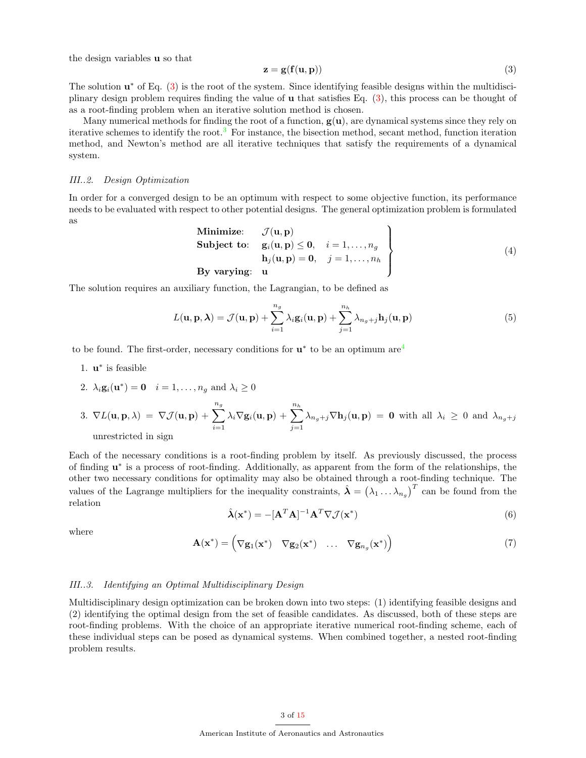the design variables u so that

<span id="page-2-0"></span>
$$
z = g(f(u, p))
$$
 (3)

The solution  $\mathbf{u}^*$  of Eq. [\(3\)](#page-2-0) is the root of the system. Since identifying feasible designs within the multidisciplinary design problem requires finding the value of u that satisfies Eq. [\(3\)](#page-2-0), this process can be thought of as a root-finding problem when an iterative solution method is chosen.

Many numerical methods for finding the root of a function,  $g(u)$ , are dynamical systems since they rely on iterative schemes to identify the root.<sup>[3](#page-14-3)</sup> For instance, the bisection method, secant method, function iteration method, and Newton's method are all iterative techniques that satisfy the requirements of a dynamical system.

#### III..2. Design Optimization

<span id="page-2-1"></span>In order for a converged design to be an optimum with respect to some objective function, its performance needs to be evaluated with respect to other potential designs. The general optimization problem is formulated as

Minimize: 
$$
\mathcal{J}(\mathbf{u}, \mathbf{p})
$$
  
\nSubject to:  $\mathbf{g}_i(\mathbf{u}, \mathbf{p}) \leq \mathbf{0}, \quad i = 1, ..., n_g$   
\n $\mathbf{h}_j(\mathbf{u}, \mathbf{p}) = \mathbf{0}, \quad j = 1, ..., n_h$   
\nBy varying:  $\mathbf{u}$  (4)

The solution requires an auxiliary function, the Lagrangian, to be defined as

$$
L(\mathbf{u}, \mathbf{p}, \boldsymbol{\lambda}) = \mathcal{J}(\mathbf{u}, \mathbf{p}) + \sum_{i=1}^{n_g} \lambda_i \mathbf{g}_i(\mathbf{u}, \mathbf{p}) + \sum_{j=1}^{n_h} \lambda_{n_g + j} \mathbf{h}_j(\mathbf{u}, \mathbf{p})
$$
(5)

to be found. The first-order, necessary conditions for  $\mathbf{u}^*$  to be an optimum are<sup>[4](#page-14-4)</sup>

1. **u**<sup>\*</sup> is feasible

2. 
$$
\lambda_i \mathbf{g}_i(\mathbf{u}^*) = \mathbf{0}
$$
  $i = 1, \dots, n_g$  and  $\lambda_i \ge 0$ 

3. 
$$
\nabla L(\mathbf{u}, \mathbf{p}, \lambda) = \nabla \mathcal{J}(\mathbf{u}, \mathbf{p}) + \sum_{i=1}^{n_g} \lambda_i \nabla \mathbf{g}_i(\mathbf{u}, \mathbf{p}) + \sum_{j=1}^{n_h} \lambda_{n_g + j} \nabla \mathbf{h}_j(\mathbf{u}, \mathbf{p}) = \mathbf{0}
$$
 with all  $\lambda_i \ge 0$  and  $\lambda_{n_g + j}$  unrestricted in sign

Each of the necessary conditions is a root-finding problem by itself. As previously discussed, the process of finding  $\mathbf{u}^*$  is a process of root-finding. Additionally, as apparent from the form of the relationships, the other two necessary conditions for optimality may also be obtained through a root-finding technique. The values of the Lagrange multipliers for the inequality constraints,  $\hat{\lambda} = (\lambda_1 \dots \lambda_{n_g})^T$  can be found from the relation

$$
\hat{\lambda}(\mathbf{x}^*) = -[\mathbf{A}^T \mathbf{A}]^{-1} \mathbf{A}^T \nabla \mathcal{J}(\mathbf{x}^*)
$$
\n(6)

where

$$
\mathbf{A}(\mathbf{x}^*) = \begin{pmatrix} \nabla \mathbf{g}_1(\mathbf{x}^*) & \nabla \mathbf{g}_2(\mathbf{x}^*) & \dots & \nabla \mathbf{g}_{n_g}(\mathbf{x}^*) \end{pmatrix} \tag{7}
$$

#### III..3. Identifying an Optimal Multidisciplinary Design

Multidisciplinary design optimization can be broken down into two steps: (1) identifying feasible designs and (2) identifying the optimal design from the set of feasible candidates. As discussed, both of these steps are root-finding problems. With the choice of an appropriate iterative numerical root-finding scheme, each of these individual steps can be posed as dynamical systems. When combined together, a nested root-finding problem results.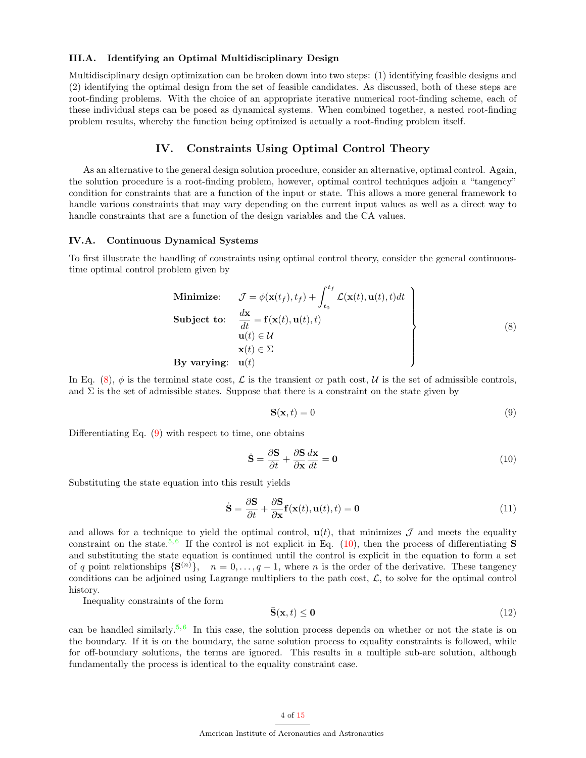#### III.A. Identifying an Optimal Multidisciplinary Design

Multidisciplinary design optimization can be broken down into two steps: (1) identifying feasible designs and (2) identifying the optimal design from the set of feasible candidates. As discussed, both of these steps are root-finding problems. With the choice of an appropriate iterative numerical root-finding scheme, each of these individual steps can be posed as dynamical systems. When combined together, a nested root-finding problem results, whereby the function being optimized is actually a root-finding problem itself.

# IV. Constraints Using Optimal Control Theory

As an alternative to the general design solution procedure, consider an alternative, optimal control. Again, the solution procedure is a root-finding problem, however, optimal control techniques adjoin a "tangency" condition for constraints that are a function of the input or state. This allows a more general framework to handle various constraints that may vary depending on the current input values as well as a direct way to handle constraints that are a function of the design variables and the CA values.

#### IV.A. Continuous Dynamical Systems

<span id="page-3-0"></span>To first illustrate the handling of constraints using optimal control theory, consider the general continuoustime optimal control problem given by

Minimize: 
$$
\mathcal{J} = \phi(\mathbf{x}(t_f), t_f) + \int_{t_0}^{t_f} \mathcal{L}(\mathbf{x}(t), \mathbf{u}(t), t) dt
$$
  
\nSubject to:  $\frac{d\mathbf{x}}{dt} = \mathbf{f}(\mathbf{x}(t), \mathbf{u}(t), t)$   
\n $\mathbf{u}(t) \in \mathcal{U}$   
\n $\mathbf{x}(t) \in \Sigma$   
\nBy varying:  $\mathbf{u}(t)$  (8)

In Eq. [\(8\)](#page-3-0),  $\phi$  is the terminal state cost, L is the transient or path cost, U is the set of admissible controls, and  $\Sigma$  is the set of admissible states. Suppose that there is a constraint on the state given by

<span id="page-3-2"></span><span id="page-3-1"></span>
$$
\mathbf{S}(\mathbf{x},t) = 0\tag{9}
$$

Differentiating Eq.  $(9)$  with respect to time, one obtains

$$
\dot{\mathbf{S}} = \frac{\partial \mathbf{S}}{\partial t} + \frac{\partial \mathbf{S}}{\partial \mathbf{x}} \frac{d\mathbf{x}}{dt} = \mathbf{0}
$$
\n(10)

Substituting the state equation into this result yields

$$
\dot{\mathbf{S}} = \frac{\partial \mathbf{S}}{\partial t} + \frac{\partial \mathbf{S}}{\partial \mathbf{x}} \mathbf{f}(\mathbf{x}(t), \mathbf{u}(t), t) = \mathbf{0}
$$
\n(11)

and allows for a technique to yield the optimal control,  $\mathbf{u}(t)$ , that minimizes  $\mathcal J$  and meets the equality constraint on the state.<sup>[5,](#page-14-5)[6](#page-14-6)</sup> If the control is not explicit in Eq.  $(10)$ , then the process of differentiating **S** and substituting the state equation is continued until the control is explicit in the equation to form a set of q point relationships  $\{S^{(n)}\}, n = 0, \ldots, q-1$ , where n is the order of the derivative. These tangency conditions can be adjoined using Lagrange multipliers to the path cost,  $\mathcal{L}$ , to solve for the optimal control history.

Inequality constraints of the form

$$
\bar{\mathbf{S}}(\mathbf{x},t) \le \mathbf{0} \tag{12}
$$

can be handled similarly.<sup>[5,](#page-14-5)[6](#page-14-6)</sup> In this case, the solution process depends on whether or not the state is on the boundary. If it is on the boundary, the same solution process to equality constraints is followed, while for off-boundary solutions, the terms are ignored. This results in a multiple sub-arc solution, although fundamentally the process is identical to the equality constraint case.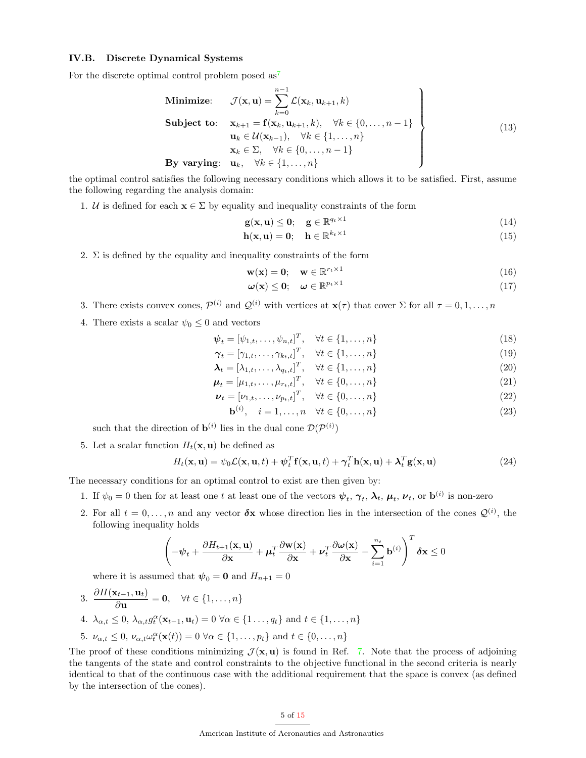#### IV.B. Discrete Dynamical Systems

For the discrete optimal control problem posed as<sup>[7](#page-14-7)</sup>

Minimize: 
$$
\mathcal{J}(\mathbf{x}, \mathbf{u}) = \sum_{k=0}^{n-1} \mathcal{L}(\mathbf{x}_k, \mathbf{u}_{k+1}, k)
$$
  
\nSubject to: 
$$
\mathbf{x}_{k+1} = \mathbf{f}(\mathbf{x}_k, \mathbf{u}_{k+1}, k), \quad \forall k \in \{0, ..., n-1\}
$$

$$
\mathbf{u}_k \in \mathcal{U}(\mathbf{x}_{k-1}), \quad \forall k \in \{1, ..., n\}
$$

$$
\mathbf{x}_k \in \Sigma, \quad \forall k \in \{0, ..., n-1\}
$$
  
\nBy varying: 
$$
\mathbf{u}_k, \quad \forall k \in \{1, ..., n\}
$$
 (13)

the optimal control satisfies the following necessary conditions which allows it to be satisfied. First, assume the following regarding the analysis domain:

1. U is defined for each  $\mathbf{x} \in \Sigma$  by equality and inequality constraints of the form

$$
\mathbf{g}(\mathbf{x}, \mathbf{u}) \leq \mathbf{0}; \quad \mathbf{g} \in \mathbb{R}^{q_t \times 1} \tag{14}
$$

$$
\mathbf{h}(\mathbf{x}, \mathbf{u}) = \mathbf{0}; \quad \mathbf{h} \in \mathbb{R}^{k_t \times 1}
$$
\n<sup>(15)</sup>

2.  $\Sigma$  is defined by the equality and inequality constraints of the form

$$
\mathbf{w}(\mathbf{x}) = \mathbf{0}; \quad \mathbf{w} \in \mathbb{R}^{r_t \times 1} \tag{16}
$$

$$
\boldsymbol{\omega}(\mathbf{x}) \leq \mathbf{0}; \quad \boldsymbol{\omega} \in \mathbb{R}^{p_t \times 1} \tag{17}
$$

- 3. There exists convex cones,  $\mathcal{P}^{(i)}$  and  $\mathcal{Q}^{(i)}$  with vertices at  $\mathbf{x}(\tau)$  that cover  $\Sigma$  for all  $\tau = 0, 1, \ldots, n$
- 4. There exists a scalar  $\psi_0 \leq 0$  and vectors

$$
\boldsymbol{\psi}_t = [\psi_{1,t}, \dots, \psi_{n,t}]^T, \quad \forall t \in \{1, \dots, n\}
$$
\n
$$
(18)
$$

$$
\boldsymbol{\gamma}_t = [\gamma_{1,t}, \dots, \gamma_{k_t,t}]^T, \quad \forall t \in \{1, \dots, n\}
$$
\n
$$
(19)
$$

$$
\boldsymbol{\lambda}_t = [\lambda_{1,t}, \dots, \lambda_{q_t,t}]^T, \quad \forall t \in \{1, \dots, n\}
$$
\n
$$
(20)
$$

$$
\boldsymbol{\mu}_t = [\mu_{1,t}, \dots, \mu_{r_t,t}]^T, \quad \forall t \in \{0, \dots, n\}
$$
\n(21)

$$
\boldsymbol{\nu}_t = [\nu_{1,t}, \dots, \nu_{p_t,t}]^T, \quad \forall t \in \{0, \dots, n\}
$$
\n
$$
(22)
$$

$$
\mathbf{b}^{(i)}, \quad i = 1, \dots, n \quad \forall t \in \{0, \dots, n\}
$$
\n
$$
(23)
$$

such that the direction of  $\mathbf{b}^{(i)}$  lies in the dual cone  $\mathcal{D}(\mathcal{P}^{(i)})$ 

5. Let a scalar function  $H_t(\mathbf{x}, \mathbf{u})$  be defined as

$$
H_t(\mathbf{x}, \mathbf{u}) = \psi_0 \mathcal{L}(\mathbf{x}, \mathbf{u}, t) + \psi_t^T \mathbf{f}(\mathbf{x}, \mathbf{u}, t) + \gamma_t^T \mathbf{h}(\mathbf{x}, \mathbf{u}) + \lambda_t^T \mathbf{g}(\mathbf{x}, \mathbf{u})
$$
(24)

The necessary conditions for an optimal control to exist are then given by:

- 1. If  $\psi_0 = 0$  then for at least one t at least one of the vectors  $\psi_t$ ,  $\gamma_t$ ,  $\lambda_t$ ,  $\mu_t$ ,  $\nu_t$ , or  $\mathbf{b}^{(i)}$  is non-zero
- 2. For all  $t = 0, \ldots, n$  and any vector  $\delta x$  whose direction lies in the intersection of the cones  $\mathcal{Q}^{(i)}$ , the following inequality holds

$$
\left(-\boldsymbol{\psi}_t + \frac{\partial H_{t+1}(\mathbf{x}, \mathbf{u})}{\partial \mathbf{x}} + \boldsymbol{\mu}_t^T \frac{\partial \mathbf{w}(\mathbf{x})}{\partial \mathbf{x}} + \boldsymbol{\nu}_t^T \frac{\partial \boldsymbol{\omega}(\mathbf{x})}{\partial \mathbf{x}} - \sum_{i=1}^{n_t} \mathbf{b}^{(i)}\right)^T \delta \mathbf{x} \le 0
$$

where it is assumed that  $\psi_0 = \mathbf{0}$  and  $H_{n+1} = 0$ 

- 3.  $\frac{\partial H(\mathbf{x}_{t-1}, \mathbf{u}_t)}{\partial}$  $\frac{\partial \mathbf{u}}{\partial \mathbf{u}} = \mathbf{0}, \quad \forall t \in \{1, \dots, n\}$ 4.  $\lambda_{\alpha,t} \leq 0$ ,  $\lambda_{\alpha,t} g_t^{\alpha}(\mathbf{x}_{t-1}, \mathbf{u}_t) = 0 \,\forall \alpha \in \{1, \ldots, q_t\}$  and  $t \in \{1, \ldots, n\}$
- 5.  $\nu_{\alpha,t} \leq 0$ ,  $\nu_{\alpha,t} \omega_t^{\alpha}(\mathbf{x}(t)) = 0 \,\forall \alpha \in \{1, \ldots, p_t\}$  and  $t \in \{0, \ldots, n\}$

The proof of these conditions minimizing  $\mathcal{J}(\mathbf{x}, \mathbf{u})$  is found in Ref. [7.](#page-14-7) Note that the process of adjoining the tangents of the state and control constraints to the objective functional in the second criteria is nearly identical to that of the continuous case with the additional requirement that the space is convex (as defined by the intersection of the cones).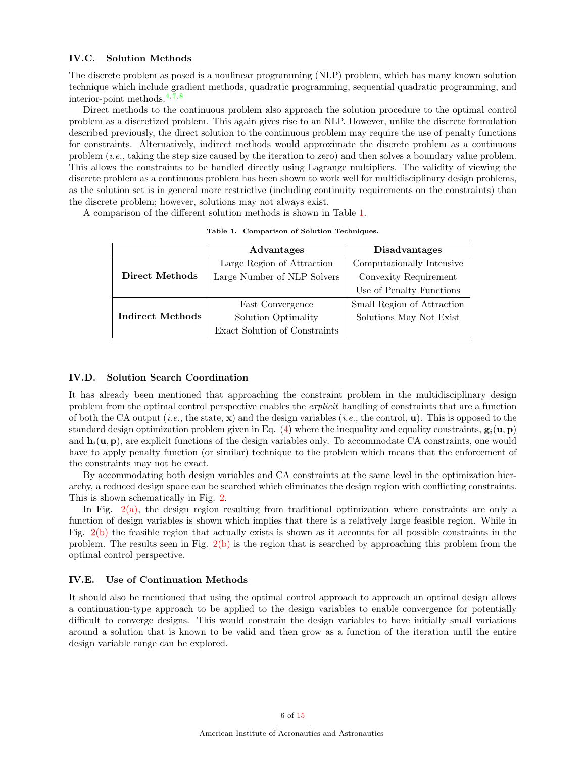#### IV.C. Solution Methods

The discrete problem as posed is a nonlinear programming (NLP) problem, which has many known solution technique which include gradient methods, quadratic programming, sequential quadratic programming, and interior-point methods.  $4, 7, 8$  $4, 7, 8$  $4, 7, 8$  $4, 7, 8$  $4, 7, 8$ 

Direct methods to the continuous problem also approach the solution procedure to the optimal control problem as a discretized problem. This again gives rise to an NLP. However, unlike the discrete formulation described previously, the direct solution to the continuous problem may require the use of penalty functions for constraints. Alternatively, indirect methods would approximate the discrete problem as a continuous problem (i.e., taking the step size caused by the iteration to zero) and then solves a boundary value problem. This allows the constraints to be handled directly using Lagrange multipliers. The validity of viewing the discrete problem as a continuous problem has been shown to work well for multidisciplinary design problems, as the solution set is in general more restrictive (including continuity requirements on the constraints) than the discrete problem; however, solutions may not always exist.

A comparison of the different solution methods is shown in Table [1.](#page-5-0)

|                         | Advantages                    | <b>Disadvantages</b>       |
|-------------------------|-------------------------------|----------------------------|
|                         | Large Region of Attraction    | Computationally Intensive  |
| Direct Methods          | Large Number of NLP Solvers   | Convexity Requirement      |
|                         |                               | Use of Penalty Functions   |
|                         | Fast Convergence              | Small Region of Attraction |
| <b>Indirect Methods</b> | Solution Optimality           | Solutions May Not Exist    |
|                         | Exact Solution of Constraints |                            |

<span id="page-5-0"></span>Table 1. Comparison of Solution Techniques.

#### IV.D. Solution Search Coordination

It has already been mentioned that approaching the constraint problem in the multidisciplinary design problem from the optimal control perspective enables the explicit handling of constraints that are a function of both the CA output (*i.e.*, the state,  $\mathbf{x}$ ) and the design variables (*i.e.*, the control, **u**). This is opposed to the standard design optimization problem given in Eq. [\(4\)](#page-2-1) where the inequality and equality constraints,  $g_i(\mathbf{u}, \mathbf{p})$ and  $\mathbf{h}_i(\mathbf{u}, \mathbf{p})$ , are explicit functions of the design variables only. To accommodate CA constraints, one would have to apply penalty function (or similar) technique to the problem which means that the enforcement of the constraints may not be exact.

By accommodating both design variables and CA constraints at the same level in the optimization hierarchy, a reduced design space can be searched which eliminates the design region with conflicting constraints. This is shown schematically in Fig. [2.](#page-6-0)

In Fig.  $2(a)$ , the design region resulting from traditional optimization where constraints are only a function of design variables is shown which implies that there is a relatively large feasible region. While in Fig. [2\(b\)](#page-6-2) the feasible region that actually exists is shown as it accounts for all possible constraints in the problem. The results seen in Fig.  $2(b)$  is the region that is searched by approaching this problem from the optimal control perspective.

### IV.E. Use of Continuation Methods

It should also be mentioned that using the optimal control approach to approach an optimal design allows a continuation-type approach to be applied to the design variables to enable convergence for potentially difficult to converge designs. This would constrain the design variables to have initially small variations around a solution that is known to be valid and then grow as a function of the iteration until the entire design variable range can be explored.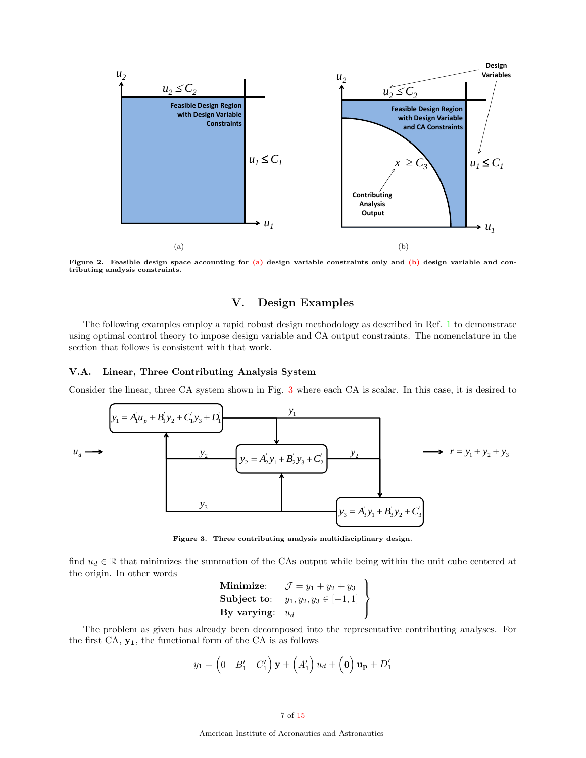<span id="page-6-1"></span>

<span id="page-6-0"></span>Figure 2. Feasible design space accounting for  $(a)$  design variable constraints only and  $(b)$  design variable and contributing analysis constraints.

# <span id="page-6-2"></span>V. Design Examples

The following examples employ a rapid robust design methodology as described in Ref. [1](#page-14-0) to demonstrate using optimal control theory to impose design variable and CA output constraints. The nomenclature in the section that follows is consistent with that work.

#### V.A. Linear, Three Contributing Analysis System

Consider the linear, three CA system shown in Fig. [3](#page-6-3) where each CA is scalar. In this case, it is desired to



<span id="page-6-3"></span>Figure 3. Three contributing analysis multidisciplinary design.

find  $u_d \in \mathbb{R}$  that minimizes the summation of the CAs output while being within the unit cube centered at the origin. In other words

| $\mathbf{Minimize:}$ | $\mathcal{J} = y_1 + y_2 + y_3$ |  |
|----------------------|---------------------------------|--|
| Subject to:          | $y_1, y_2, y_3 \in [-1, 1]$     |  |
| By varying: $u_d$    |                                 |  |

The problem as given has already been decomposed into the representative contributing analyses. For the first  $CA, y_1$ , the functional form of the  $CA$  is as follows

$$
y_1 = \begin{pmatrix} 0 & B'_1 & C'_1 \end{pmatrix} \mathbf{y} + \begin{pmatrix} A'_1 \end{pmatrix} u_d + \begin{pmatrix} \mathbf{0} \end{pmatrix} \mathbf{u_p} + D'_1
$$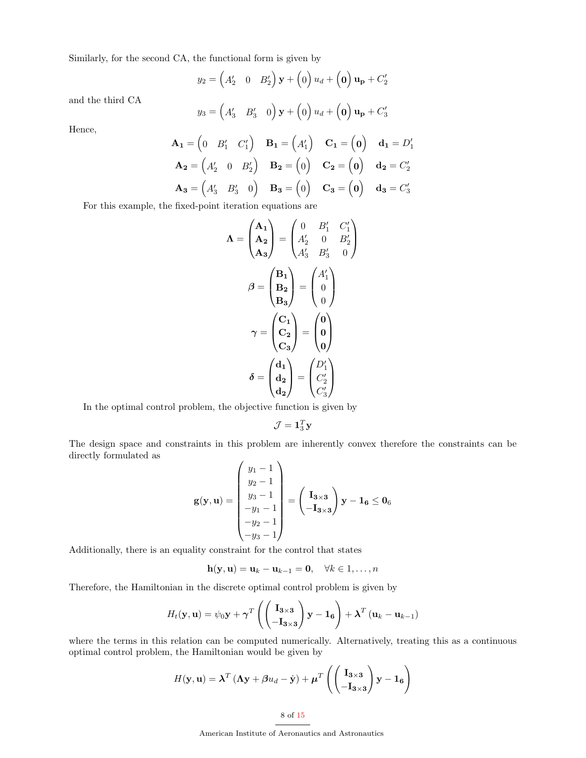Similarly, for the second CA, the functional form is given by

$$
y_2 = \begin{pmatrix} A'_2 & 0 & B'_2 \end{pmatrix} \mathbf{y} + \begin{pmatrix} 0 \end{pmatrix} u_d + \begin{pmatrix} 0 \end{pmatrix} \mathbf{u_p} + C'_2
$$

and the third CA

$$
y_3 = \begin{pmatrix} A'_3 & B'_3 & 0 \end{pmatrix} \mathbf{y} + \begin{pmatrix} 0 \end{pmatrix} u_d + \begin{pmatrix} 0 \end{pmatrix} \mathbf{u_p} + C'_3
$$

Hence,

$$
\mathbf{A_1} = \begin{pmatrix} 0 & B'_1 & C'_1 \end{pmatrix} \quad \mathbf{B_1} = \begin{pmatrix} A'_1 \end{pmatrix} \quad \mathbf{C_1} = \begin{pmatrix} 0 \end{pmatrix} \quad \mathbf{d_1} = D'_1
$$
  

$$
\mathbf{A_2} = \begin{pmatrix} A'_2 & 0 & B'_2 \end{pmatrix} \quad \mathbf{B_2} = \begin{pmatrix} 0 \end{pmatrix} \quad \mathbf{C_2} = \begin{pmatrix} 0 \end{pmatrix} \quad \mathbf{d_2} = C'_2
$$
  

$$
\mathbf{A_3} = \begin{pmatrix} A'_3 & B'_3 & 0 \end{pmatrix} \quad \mathbf{B_3} = \begin{pmatrix} 0 \end{pmatrix} \quad \mathbf{C_3} = \begin{pmatrix} 0 \end{pmatrix} \quad \mathbf{d_3} = C'_3
$$

For this example, the fixed-point iteration equations are

$$
\Lambda = \begin{pmatrix} A_1 \\ A_2 \\ A_3 \end{pmatrix} = \begin{pmatrix} 0 & B'_1 & C'_1 \\ A'_2 & 0 & B'_2 \\ A'_3 & B'_3 & 0 \end{pmatrix}
$$

$$
\beta = \begin{pmatrix} B_1 \\ B_2 \\ B_3 \end{pmatrix} = \begin{pmatrix} A'_1 \\ 0 \\ 0 \end{pmatrix}
$$

$$
\gamma = \begin{pmatrix} C_1 \\ C_2 \\ C_3 \end{pmatrix} = \begin{pmatrix} 0 \\ 0 \\ 0 \end{pmatrix}
$$

$$
\delta = \begin{pmatrix} d_1 \\ d_2 \\ d_2 \end{pmatrix} = \begin{pmatrix} D'_1 \\ C'_2 \\ C'_3 \end{pmatrix}
$$

In the optimal control problem, the objective function is given by

$$
\mathcal{J} = \mathbf{1}_3^T \mathbf{y}
$$

The design space and constraints in this problem are inherently convex therefore the constraints can be directly formulated as

$$
\mathbf{g}(\mathbf{y}, \mathbf{u}) = \begin{pmatrix} y_1 - 1 \\ y_2 - 1 \\ y_3 - 1 \\ -y_1 - 1 \\ -y_2 - 1 \\ -y_3 - 1 \end{pmatrix} = \begin{pmatrix} \mathbf{I}_{3 \times 3} \\ -\mathbf{I}_{3 \times 3} \end{pmatrix} \mathbf{y} - \mathbf{1}_{6} \leq \mathbf{0}_{6}
$$

Additionally, there is an equality constraint for the control that states

$$
\mathbf{h}(\mathbf{y},\mathbf{u})=\mathbf{u}_k-\mathbf{u}_{k-1}=\mathbf{0},\quad \forall k\in{1,\ldots,n}
$$

Therefore, the Hamiltonian in the discrete optimal control problem is given by

$$
H_t(\mathbf{y}, \mathbf{u}) = \psi_0 \mathbf{y} + \gamma^T \left( \begin{pmatrix} \mathbf{I}_{3 \times 3} \\ -\mathbf{I}_{3 \times 3} \end{pmatrix} \mathbf{y} - \mathbf{1}_6 \right) + \boldsymbol{\lambda}^T \left( \mathbf{u}_k - \mathbf{u}_{k-1} \right)
$$

where the terms in this relation can be computed numerically. Alternatively, treating this as a continuous optimal control problem, the Hamiltonian would be given by

$$
H(\mathbf{y}, \mathbf{u}) = \boldsymbol{\lambda}^T (\boldsymbol{\Lambda} \mathbf{y} + \boldsymbol{\beta} u_d - \dot{\mathbf{y}}) + \boldsymbol{\mu}^T \left( \begin{pmatrix} \mathbf{I}_{3 \times 3} \\ -\mathbf{I}_{3 \times 3} \end{pmatrix} \mathbf{y} - \mathbf{1}_6 \right)
$$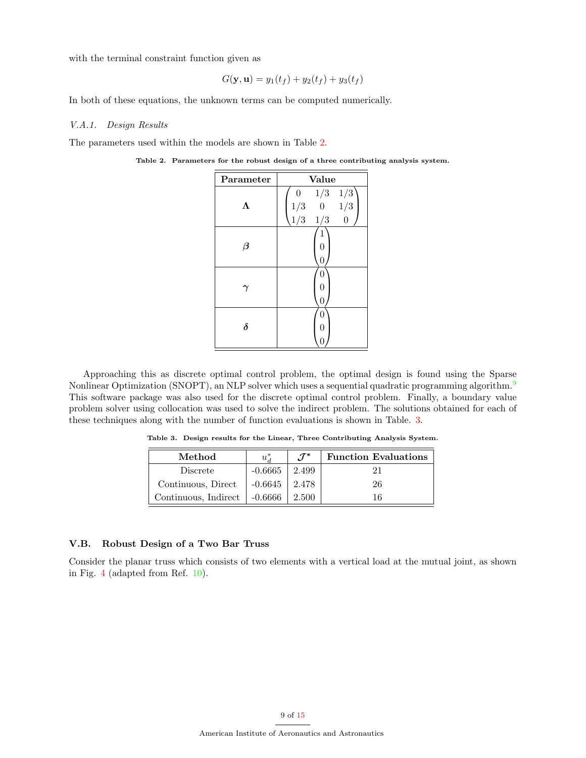with the terminal constraint function given as

$$
G(\mathbf{y}, \mathbf{u}) = y_1(t_f) + y_2(t_f) + y_3(t_f)
$$

In both of these equations, the unknown terms can be computed numerically.

#### V.A.1. Design Results

The parameters used within the models are shown in Table [2.](#page-8-0)

<span id="page-8-0"></span>Table 2. Parameters for the robust design of a three contributing analysis system.

| Parameter | Value                                                                            |  |  |
|-----------|----------------------------------------------------------------------------------|--|--|
| Λ         | $\begin{array}{ccc} 0 & 1/3 & 1/3 \\ 1/3 & 0 & 1/3 \\ 1/3 & 1/3 & 0 \end{array}$ |  |  |
| $\beta$   | 0<br>0                                                                           |  |  |
|           | N<br>0<br>0                                                                      |  |  |
| $\delta$  | 0<br>O                                                                           |  |  |

Approaching this as discrete optimal control problem, the optimal design is found using the Sparse Nonlinear Optimization (SNOPT), an NLP solver which uses a sequential quadratic programming algorithm.<sup>[9](#page-14-9)</sup> This software package was also used for the discrete optimal control problem. Finally, a boundary value problem solver using collocation was used to solve the indirect problem. The solutions obtained for each of these techniques along with the number of function evaluations is shown in Table. [3.](#page-8-1)

<span id="page-8-1"></span>Table 3. Design results for the Linear, Three Contributing Analysis System.

| Method               | $u^*_{\mathcal{A}}$ | $\mathcal{J}^*$ | <b>Function Evaluations</b> |
|----------------------|---------------------|-----------------|-----------------------------|
| Discrete             | $-0.6665$           | 2.499           |                             |
| Continuous, Direct   | -0.6645             | 2.478           | 26                          |
| Continuous, Indirect | $-0.6666$           | 2.500           | 16                          |

# V.B. Robust Design of a Two Bar Truss

Consider the planar truss which consists of two elements with a vertical load at the mutual joint, as shown in Fig. [4](#page-9-0) (adapted from Ref. [10\)](#page-14-10).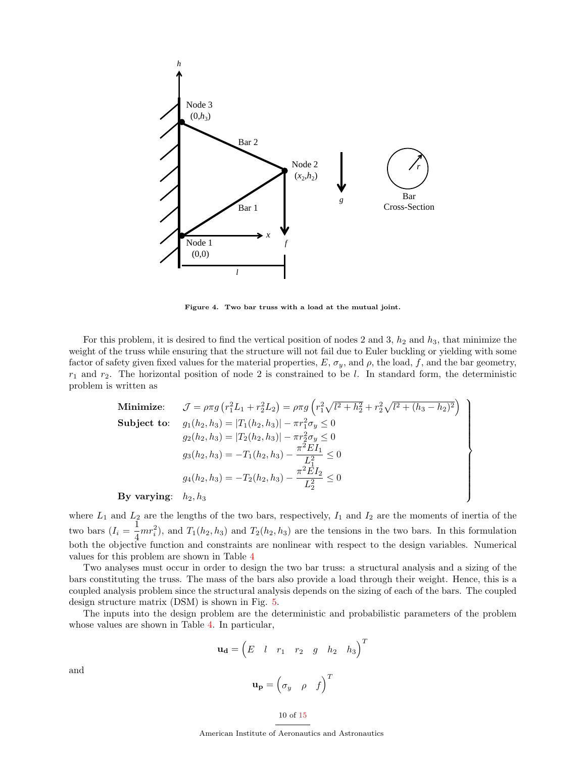

<span id="page-9-0"></span>Figure 4. Two bar truss with a load at the mutual joint.

For this problem, it is desired to find the vertical position of nodes 2 and 3,  $h_2$  and  $h_3$ , that minimize the weight of the truss while ensuring that the structure will not fail due to Euler buckling or yielding with some factor of safety given fixed values for the material properties,  $E$ ,  $\sigma_y$ , and  $\rho$ , the load, f, and the bar geometry,  $r_1$  and  $r_2$ . The horizontal position of node 2 is constrained to be l. In standard form, the deterministic problem is written as

Minimize: 
$$
\mathcal{J} = \rho \pi g \left( r_1^2 L_1 + r_2^2 L_2 \right) = \rho \pi g \left( r_1^2 \sqrt{l^2 + h_2^2} + r_2^2 \sqrt{l^2 + (h_3 - h_2)^2} \right)
$$
  
\nSubject to: 
$$
g_1(h_2, h_3) = |T_1(h_2, h_3)| - \pi r_1^2 \sigma_y \le 0
$$

$$
g_2(h_2, h_3) = |T_2(h_2, h_3)| - \pi r_2^2 \sigma_y \le 0
$$

$$
g_3(h_2, h_3) = -T_1(h_2, h_3) - \frac{\pi^2 E I_1}{L_1^2} \le 0
$$

$$
g_4(h_2, h_3) = -T_2(h_2, h_3) - \frac{\pi^2 E I_2}{L_2^2} \le 0
$$
  
\nBy varying:  $h_2, h_3$ 

By varying:  $h_2, h_3$ 

where  $L_1$  and  $L_2$  are the lengths of the two bars, respectively,  $I_1$  and  $I_2$  are the moments of inertia of the two bars  $(I_i = \frac{1}{4})$  $\frac{1}{4}mr_i^2$ , and  $T_1(h_2, h_3)$  and  $T_2(h_2, h_3)$  are the tensions in the two bars. In this formulation both the objective function and constraints are nonlinear with respect to the design variables. Numerical values for this problem are shown in Table [4](#page-10-0)

Two analyses must occur in order to design the two bar truss: a structural analysis and a sizing of the bars constituting the truss. The mass of the bars also provide a load through their weight. Hence, this is a coupled analysis problem since the structural analysis depends on the sizing of each of the bars. The coupled design structure matrix (DSM) is shown in Fig. [5.](#page-10-1)

The inputs into the design problem are the deterministic and probabilistic parameters of the problem whose values are shown in Table [4.](#page-10-0) In particular,

$$
\mathbf{u_d} = \begin{pmatrix} E & l & r_1 & r_2 & g & h_2 & h_3 \end{pmatrix}^T
$$

$$
\mathbf{u_p} = \begin{pmatrix} \sigma_y & \rho & f \end{pmatrix}^T
$$

and

$$
10\,\,\mathrm{of}\,\,15
$$

American Institute of Aeronautics and Astronautics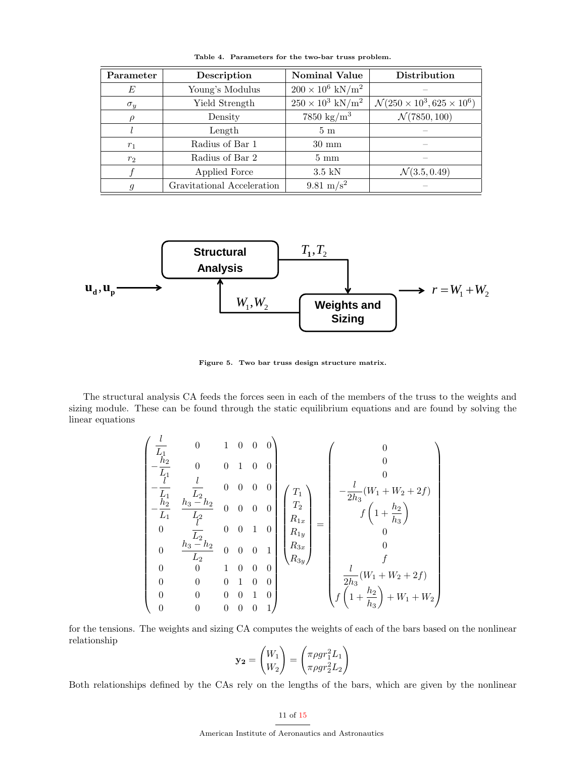| Parameter      | Description                | <b>Nominal Value</b>                | <b>Distribution</b>                             |
|----------------|----------------------------|-------------------------------------|-------------------------------------------------|
| E              | Young's Modulus            | $200 \times 10^6$ kN/m <sup>2</sup> |                                                 |
| $\sigma_y$     | Yield Strength             | $250\times10^3$ kN/m^2              | $\mathcal{N}(250 \times 10^3, 625 \times 10^6)$ |
| 0              | Density                    | $7850 \text{ kg/m}^3$               | $\mathcal{N}(7850, 100)$                        |
|                | Length                     | 5 <sub>m</sub>                      |                                                 |
| $r_1$          | Radius of Bar 1            | $30 \text{ mm}$                     |                                                 |
| $r_2$          | Radius of Bar 2            | $5 \text{ mm}$                      |                                                 |
|                | Applied Force              | $3.5$ kN                            | $\mathcal{N}(3.5, 0.49)$                        |
| $\mathfrak{g}$ | Gravitational Acceleration | 9.81 m/s <sup>2</sup>               |                                                 |

<span id="page-10-0"></span>Table 4. Parameters for the two-bar truss problem.



<span id="page-10-1"></span>Figure 5. Two bar truss design structure matrix.

The structural analysis CA feeds the forces seen in each of the members of the truss to the weights and sizing module. These can be found through the static equilibrium equations and are found by solving the linear equations

$$
\begin{pmatrix}\n\frac{l}{L_1} & 0 & 1 & 0 & 0 & 0 \\
-\frac{h_2}{L_1} & 0 & 0 & 1 & 0 & 0 \\
-\frac{h_2}{L_1} & \frac{h_3 - h_2}{L_2} & 0 & 0 & 0 & 0 \\
0 & \frac{h_3 - h_2}{L_2} & 0 & 0 & 1 & 0 \\
0 & \frac{h_3 - h_2}{L_2} & 0 & 0 & 0 & 1 \\
0 & 0 & 1 & 0 & 0 & 0 \\
0 & 0 & 0 & 1 & 0 & 0 \\
0 & 0 & 0 & 0 & 1 & 0 \\
0 & 0 & 0 & 0 & 0 & 1\n\end{pmatrix}\n\begin{pmatrix}\nT_1 \\
T_2 \\
R_{1x} \\
R_{1y} \\
R_{3y}\n\end{pmatrix} = \n\begin{pmatrix}\n0 \\
0 \\
-\frac{l}{2h_3}(W_1 + W_2 + 2f) \\
0 \\
0 \\
0 \\
f \\
f \\
f\n\left(1 + \frac{h_2}{h_3}\right) + W_1 + W_2\n\end{pmatrix}
$$

for the tensions. The weights and sizing CA computes the weights of each of the bars based on the nonlinear relationship

$$
\mathbf{y_2} = \begin{pmatrix} W_1 \\ W_2 \end{pmatrix} = \begin{pmatrix} \pi \rho g r_1^2 L_1 \\ \pi \rho g r_2^2 L_2 \end{pmatrix}
$$

Both relationships defined by the CAs rely on the lengths of the bars, which are given by the nonlinear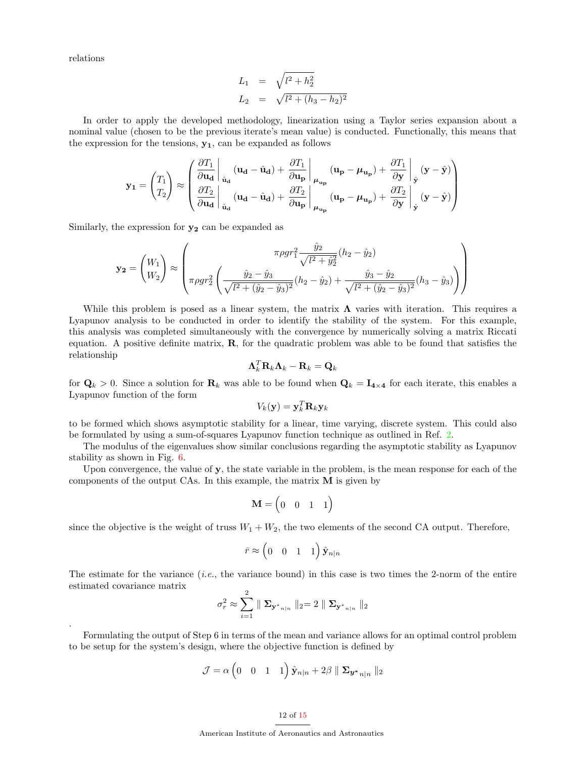relations

.

$$
L_1 = \sqrt{l^2 + h_2^2}
$$
  

$$
L_2 = \sqrt{l^2 + (h_3 - h_2)^2}
$$

In order to apply the developed methodology, linearization using a Taylor series expansion about a nominal value (chosen to be the previous iterate's mean value) is conducted. Functionally, this means that the expression for the tensions,  $y_1$ , can be expanded as follows

$$
\mathbf{y_1} = \begin{pmatrix} T_1 \\ T_2 \end{pmatrix} \approx \begin{pmatrix} \frac{\partial T_1}{\partial \mathbf{u_d}} \Big|_{\hat{\mathbf{u}}_{\mathbf{d}}} (\mathbf{u_d} - \hat{\mathbf{u}}_{\mathbf{d}}) + \frac{\partial T_1}{\partial \mathbf{u_p}} \Big|_{\mu_{\mathbf{u_p}}} (\mathbf{u_p} - \mu_{\mathbf{u_p}}) + \frac{\partial T_1}{\partial \mathbf{y}} \Big|_{\hat{\mathbf{y}}} (\mathbf{y} - \hat{\mathbf{y}}) \\ \frac{\partial T_2}{\partial \mathbf{u_d}} \Big|_{\hat{\mathbf{u}}_{\mathbf{d}}} (\mathbf{u_d} - \hat{\mathbf{u}}_{\mathbf{d}}) + \frac{\partial T_2}{\partial \mathbf{u_p}} \Big|_{\mu_{\mathbf{u_p}}} (\mathbf{u_p} - \mu_{\mathbf{u_p}}) + \frac{\partial T_2}{\partial \mathbf{y}} \Big|_{\hat{\mathbf{y}}} (\mathbf{y} - \hat{\mathbf{y}}) \end{pmatrix}
$$

Similarly, the expression for  $y_2$  can be expanded as

$$
\mathbf{y_2} = \begin{pmatrix} W_1 \\ W_2 \end{pmatrix} \approx \begin{pmatrix} \pi \rho g r_1^2 \frac{\hat{y}_2}{\sqrt{l^2 + \hat{y}_2^2}} (h_2 - \hat{y}_2) \\ \pi \rho g r_2^2 \left( \frac{\hat{y}_2 - \hat{y}_3}{\sqrt{l^2 + (\hat{y}_2 - \hat{y}_3)^2}} (h_2 - \hat{y}_2) + \frac{\hat{y}_3 - \hat{y}_2}{\sqrt{l^2 + (\hat{y}_2 - \hat{y}_3)^2}} (h_3 - \hat{y}_3) \right) \end{pmatrix}
$$

While this problem is posed as a linear system, the matrix  $\Lambda$  varies with iteration. This requires a Lyapunov analysis to be conducted in order to identify the stability of the system. For this example, this analysis was completed simultaneously with the convergence by numerically solving a matrix Riccati equation. A positive definite matrix,  $\bf{R}$ , for the quadratic problem was able to be found that satisfies the relationship

$$
\mathbf{\Lambda}_k^T \mathbf{R}_k \mathbf{\Lambda}_k - \mathbf{R}_k = \mathbf{Q}_k
$$

for  $\mathbf{Q}_k > 0$ . Since a solution for  $\mathbf{R}_k$  was able to be found when  $\mathbf{Q}_k = \mathbf{I}_{4 \times 4}$  for each iterate, this enables a Lyapunov function of the form

$$
V_k(\mathbf{y}) = \mathbf{y}_k^T \mathbf{R}_k \mathbf{y}_k
$$

to be formed which shows asymptotic stability for a linear, time varying, discrete system. This could also be formulated by using a sum-of-squares Lyapunov function technique as outlined in Ref. [2.](#page-14-1)

The modulus of the eigenvalues show similar conclusions regarding the asymptotic stability as Lyapunov stability as shown in Fig. [6.](#page-12-0)

Upon convergence, the value of y, the state variable in the problem, is the mean response for each of the components of the output CAs. In this example, the matrix  $M$  is given by

$$
\mathbf{M} = \begin{pmatrix} 0 & 0 & 1 & 1 \end{pmatrix}
$$

since the objective is the weight of truss  $W_1 + W_2$ , the two elements of the second CA output. Therefore,

$$
\bar{r} \approx \begin{pmatrix} 0 & 0 & 1 & 1 \end{pmatrix} \hat{\mathbf{y}}_{n|n}
$$

The estimate for the variance  $(i.e.,$  the variance bound) in this case is two times the 2-norm of the entire estimated covariance matrix

$$
\sigma_r^2 \approx \sum_{i=1}^2 \parallel \mathbf{\Sigma}_{\mathbf{y}^*_{n|n}} \parallel_2 = 2 \parallel \mathbf{\Sigma}_{\mathbf{y}^*_{n|n}} \parallel_2
$$

Formulating the output of Step 6 in terms of the mean and variance allows for an optimal control problem to be setup for the system's design, where the objective function is defined by

$$
\mathcal{J} = \alpha \begin{pmatrix} 0 & 0 & 1 & 1 \end{pmatrix} \hat{\mathbf{y}}_{n|n} + 2\beta \parallel \Sigma_{\mathbf{y}^*_{n|n}} \parallel_2
$$

#### 12 of [15](#page-14-2)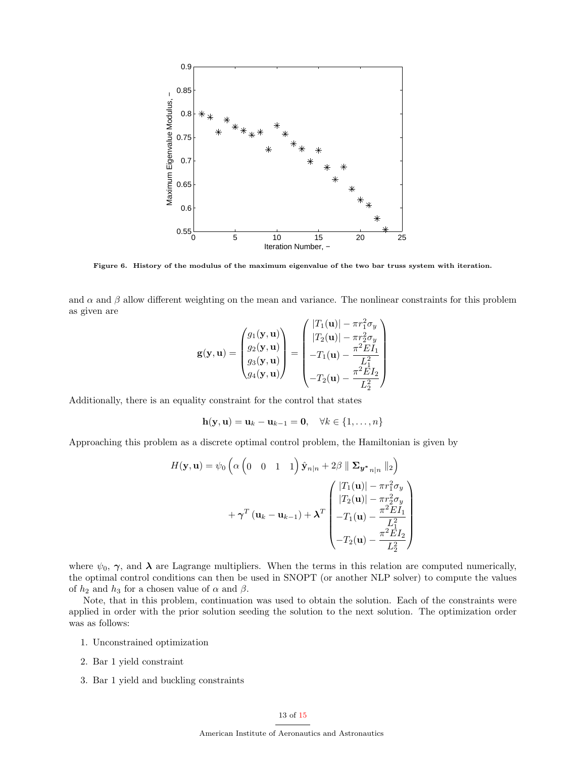

<span id="page-12-0"></span>Figure 6. History of the modulus of the maximum eigenvalue of the two bar truss system with iteration.

and  $\alpha$  and  $\beta$  allow different weighting on the mean and variance. The nonlinear constraints for this problem as given are

$$
\mathbf{g}(\mathbf{y}, \mathbf{u}) = \begin{pmatrix} g_1(\mathbf{y}, \mathbf{u}) \\ g_2(\mathbf{y}, \mathbf{u}) \\ g_3(\mathbf{y}, \mathbf{u}) \\ g_4(\mathbf{y}, \mathbf{u}) \end{pmatrix} = \begin{pmatrix} |T_1(\mathbf{u})| - \pi r_1^2 \sigma_y \\ |T_2(\mathbf{u})| - \pi r_2^2 \sigma_y \\ -T_1(\mathbf{u}) - \frac{\pi^2 E I_1}{L_1^2} \\ -T_2(\mathbf{u}) - \frac{\pi^2 E I_2}{L_2^2} \end{pmatrix}
$$

Additionally, there is an equality constraint for the control that states

$$
\mathbf{h}(\mathbf{y},\mathbf{u}) = \mathbf{u}_k - \mathbf{u}_{k-1} = \mathbf{0}, \quad \forall k \in \{1,\ldots,n\}
$$

Approaching this problem as a discrete optimal control problem, the Hamiltonian is given by

$$
H(\mathbf{y}, \mathbf{u}) = \psi_0 \left( \alpha \begin{pmatrix} 0 & 0 & 1 & 1 \end{pmatrix} \hat{\mathbf{y}}_{n|n} + 2\beta \parallel \Sigma_{\mathbf{y}^*_{n|n}} \parallel_2 \right)
$$

$$
+ \gamma^T (\mathbf{u}_k - \mathbf{u}_{k-1}) + \lambda^T \begin{pmatrix} |T_1(\mathbf{u})| - \pi r_1^2 \sigma_y \\ |T_2(\mathbf{u})| - \pi r_2^2 \sigma_y \\ -T_1(\mathbf{u}) - \frac{\pi^2 E I_1}{L_1^2} \\ -T_2(\mathbf{u}) - \frac{\pi^2 E I_2}{L_2^2} \end{pmatrix}
$$

where  $\psi_0$ ,  $\gamma$ , and  $\lambda$  are Lagrange multipliers. When the terms in this relation are computed numerically, the optimal control conditions can then be used in SNOPT (or another NLP solver) to compute the values of  $h_2$  and  $h_3$  for a chosen value of  $\alpha$  and  $\beta$ .

Note, that in this problem, continuation was used to obtain the solution. Each of the constraints were applied in order with the prior solution seeding the solution to the next solution. The optimization order was as follows:

- 1. Unconstrained optimization
- 2. Bar 1 yield constraint
- 3. Bar 1 yield and buckling constraints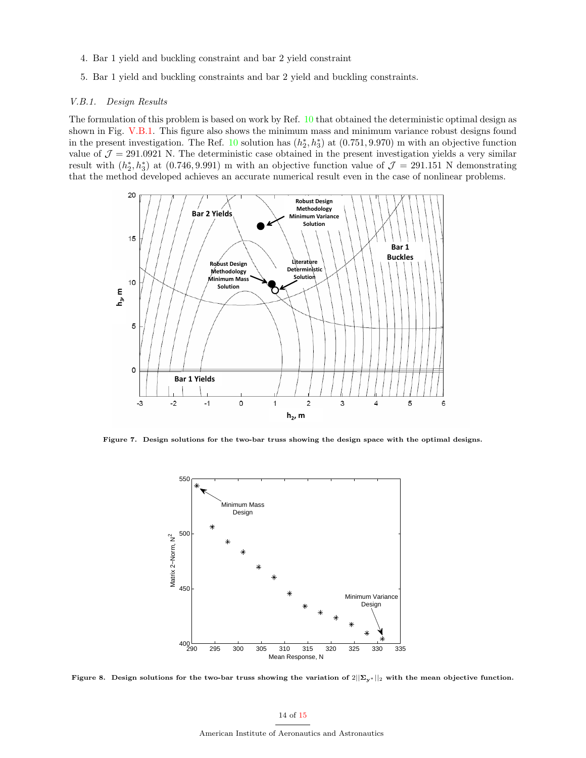- 4. Bar 1 yield and buckling constraint and bar 2 yield constraint
- 5. Bar 1 yield and buckling constraints and bar 2 yield and buckling constraints.

#### <span id="page-13-0"></span>V.B.1. Design Results

The formulation of this problem is based on work by Ref. [10](#page-14-10) that obtained the deterministic optimal design as shown in Fig. [V.B.1.](#page-13-0) This figure also shows the minimum mass and minimum variance robust designs found in the present investigation. The Ref. [10](#page-14-10) solution has  $(h_2^*, h_3^*)$  at  $(0.751, 9.970)$  m with an objective function value of  $\mathcal{J} = 291.0921$  N. The deterministic case obtained in the present investigation yields a very similar result with  $(h_2^*, h_3^*)$  at  $(0.746, 9.991)$  m with an objective function value of  $\mathcal{J}=291.151$  N demonstrating that the method developed achieves an accurate numerical result even in the case of nonlinear problems.



Figure 7. Design solutions for the two-bar truss showing the design space with the optimal designs.

<span id="page-13-1"></span>

Figure 8. Design solutions for the two-bar truss showing the variation of  $2||\Sigma_{y^*}||_2$  with the mean objective function.